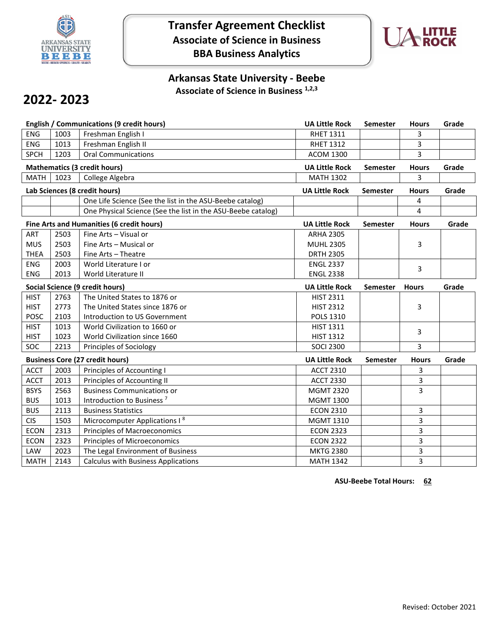

# **Transfer Agreement Checklist Associate of Science in Business BBA Business Analytics**



## **Arkansas State University - Beebe Associate of Science in Business 1,2,3**

# **2022- 2023**

|             |      | <b>English / Communications (9 credit hours)</b>             | <b>UA Little Rock</b> | Semester        | <b>Hours</b> | Grade |
|-------------|------|--------------------------------------------------------------|-----------------------|-----------------|--------------|-------|
| ENG         | 1003 | Freshman English I                                           | <b>RHET 1311</b>      |                 | 3            |       |
| <b>ENG</b>  | 1013 | Freshman English II                                          | <b>RHET 1312</b>      |                 | 3            |       |
| <b>SPCH</b> | 1203 | <b>Oral Communications</b>                                   | <b>ACOM 1300</b>      |                 | 3            |       |
|             |      | <b>Mathematics (3 credit hours)</b>                          | <b>UA Little Rock</b> | Semester        | <b>Hours</b> | Grade |
| <b>MATH</b> | 1023 | College Algebra                                              | <b>MATH 1302</b>      |                 | 3            |       |
|             |      | Lab Sciences (8 credit hours)                                | <b>UA Little Rock</b> | <b>Semester</b> | <b>Hours</b> | Grade |
|             |      | One Life Science (See the list in the ASU-Beebe catalog)     |                       |                 | 4            |       |
|             |      | One Physical Science (See the list in the ASU-Beebe catalog) |                       |                 | 4            |       |
|             |      | Fine Arts and Humanities (6 credit hours)                    | <b>UA Little Rock</b> | Semester        | <b>Hours</b> | Grade |
| ART         | 2503 | Fine Arts - Visual or                                        | <b>ARHA 2305</b>      |                 |              |       |
| <b>MUS</b>  | 2503 | Fine Arts - Musical or                                       | <b>MUHL 2305</b>      |                 | 3            |       |
| <b>THEA</b> | 2503 | Fine Arts - Theatre                                          | <b>DRTH 2305</b>      |                 |              |       |
| <b>ENG</b>  | 2003 | World Literature I or                                        | <b>ENGL 2337</b>      |                 | 3            |       |
| ENG         | 2013 | World Literature II                                          | <b>ENGL 2338</b>      |                 |              |       |
|             |      | Social Science (9 credit hours)                              | <b>UA Little Rock</b> | <b>Semester</b> | <b>Hours</b> | Grade |
| <b>HIST</b> | 2763 | The United States to 1876 or                                 | <b>HIST 2311</b>      |                 |              |       |
| <b>HIST</b> | 2773 | The United States since 1876 or                              | <b>HIST 2312</b>      |                 | 3            |       |
| <b>POSC</b> | 2103 | Introduction to US Government                                | <b>POLS 1310</b>      |                 |              |       |
| <b>HIST</b> | 1013 | World Civilization to 1660 or                                | <b>HIST 1311</b>      |                 | 3            |       |
| <b>HIST</b> | 1023 | World Civilization since 1660                                | <b>HIST 1312</b>      |                 |              |       |
| <b>SOC</b>  | 2213 | Principles of Sociology                                      | <b>SOCI 2300</b>      |                 | 3            |       |
|             |      | <b>Business Core (27 credit hours)</b>                       | <b>UA Little Rock</b> | <b>Semester</b> | <b>Hours</b> | Grade |
| <b>ACCT</b> | 2003 | Principles of Accounting I                                   | <b>ACCT 2310</b>      |                 | 3            |       |
| <b>ACCT</b> | 2013 | Principles of Accounting II                                  | <b>ACCT 2330</b>      |                 | 3            |       |
| <b>BSYS</b> | 2563 | <b>Business Communications or</b>                            | <b>MGMT 2320</b>      |                 | 3            |       |
| <b>BUS</b>  | 1013 | Introduction to Business <sup>7</sup>                        | <b>MGMT 1300</b>      |                 |              |       |
| <b>BUS</b>  | 2113 | <b>Business Statistics</b>                                   | <b>ECON 2310</b>      |                 | 3            |       |
| <b>CIS</b>  | 1503 | Microcomputer Applications I <sup>8</sup>                    | MGMT 1310             |                 | 3            |       |
| <b>ECON</b> | 2313 | Principles of Macroeconomics                                 | <b>ECON 2323</b>      |                 | 3            |       |
| <b>ECON</b> | 2323 | <b>Principles of Microeconomics</b>                          | <b>ECON 2322</b>      |                 | 3            |       |
| LAW         | 2023 | The Legal Environment of Business                            | <b>MKTG 2380</b>      |                 | 3            |       |
| <b>MATH</b> | 2143 | <b>Calculus with Business Applications</b>                   | <b>MATH 1342</b>      |                 | 3            |       |

**ASU-Beebe Total Hours: 62**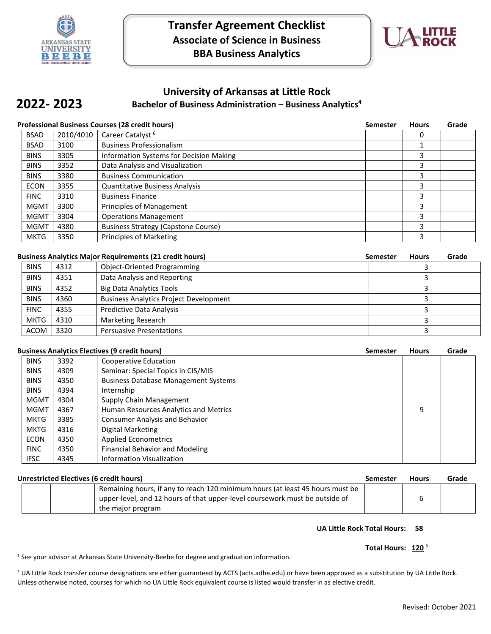

**2022- 2023**



## **University of Arkansas at Little Rock**

## **Bachelor of Business Administration – Business Analytics4**

| <b>Professional Business Courses (28 credit hours)</b> | Semester Hours | Grade |
|--------------------------------------------------------|----------------|-------|

| <b>BSAD</b> | 2010/4010 | Career Catalyst <sup>6</sup>                   | 0 |  |
|-------------|-----------|------------------------------------------------|---|--|
| <b>BSAD</b> | 3100      | <b>Business Professionalism</b>                |   |  |
| <b>BINS</b> | 3305      | <b>Information Systems for Decision Making</b> |   |  |
| <b>BINS</b> | 3352      | Data Analysis and Visualization                |   |  |
| <b>BINS</b> | 3380      | <b>Business Communication</b>                  |   |  |
| <b>ECON</b> | 3355      | <b>Quantitative Business Analysis</b>          |   |  |
| <b>FINC</b> | 3310      | <b>Business Finance</b>                        | 3 |  |
| <b>MGMT</b> | 3300      | Principles of Management                       |   |  |
| <b>MGMT</b> | 3304      | <b>Operations Management</b>                   |   |  |
| <b>MGMT</b> | 4380      | <b>Business Strategy (Capstone Course)</b>     | 3 |  |
| <b>MKTG</b> | 3350      | <b>Principles of Marketing</b>                 |   |  |

| <b>Business Analytics Major Requirements (21 credit hours)</b> |      | <b>Semester</b>                               | <b>Hours</b> | Grade |  |
|----------------------------------------------------------------|------|-----------------------------------------------|--------------|-------|--|
| <b>BINS</b>                                                    | 4312 | <b>Object-Oriented Programming</b>            |              |       |  |
| <b>BINS</b>                                                    | 4351 | Data Analysis and Reporting                   |              |       |  |
| <b>BINS</b>                                                    | 4352 | <b>Big Data Analytics Tools</b>               |              |       |  |
| <b>BINS</b>                                                    | 4360 | <b>Business Analytics Project Development</b> |              |       |  |
| <b>FINC</b>                                                    | 4355 | Predictive Data Analysis                      |              |       |  |
| <b>MKTG</b>                                                    | 4310 | <b>Marketing Research</b>                     |              |       |  |
| <b>ACOM</b>                                                    | 3320 | <b>Persuasive Presentations</b>               |              |       |  |

### **Business Analytics Electives (9 credit hours) Semester Hours Grade**

|             |      | pusiliess Alialvuus Lietuves (9 tiediu lipuls) | JEIIIEJLEI | ,,,,,, | ulauc |
|-------------|------|------------------------------------------------|------------|--------|-------|
| <b>BINS</b> | 3392 | Cooperative Education                          |            |        |       |
| <b>BINS</b> | 4309 | Seminar: Special Topics in CIS/MIS             |            |        |       |
| <b>BINS</b> | 4350 | <b>Business Database Management Systems</b>    |            |        |       |
| <b>BINS</b> | 4394 | Internship                                     |            |        |       |
| <b>MGMT</b> | 4304 | Supply Chain Management                        |            |        |       |
| <b>MGMT</b> | 4367 | Human Resources Analytics and Metrics          |            | 9      |       |
| <b>MKTG</b> | 3385 | <b>Consumer Analysis and Behavior</b>          |            |        |       |
| <b>MKTG</b> | 4316 | Digital Marketing                              |            |        |       |
| <b>ECON</b> | 4350 | <b>Applied Econometrics</b>                    |            |        |       |
| <b>FINC</b> | 4350 | <b>Financial Behavior and Modeling</b>         |            |        |       |
| <b>IFSC</b> | 4345 | <b>Information Visualization</b>               |            |        |       |

| Unrestricted Electives (6 credit hours) |  | Semester                                                                      | <b>Hours</b> | Grade |  |
|-----------------------------------------|--|-------------------------------------------------------------------------------|--------------|-------|--|
|                                         |  | Remaining hours, if any to reach 120 minimum hours (at least 45 hours must be |              |       |  |
|                                         |  | upper-level, and 12 hours of that upper-level coursework must be outside of   |              |       |  |
|                                         |  | the major program                                                             |              |       |  |

### **UA Little Rock Total Hours: 58**

### Total Hours: 120<sup>5</sup>

1 See your advisor at Arkansas State University-Beebe for degree and graduation information.

<sup>2</sup> UA Little Rock transfer course designations are either guaranteed by ACTS (acts.adhe.edu) or have been approved as a substitution by UA Little Rock. Unless otherwise noted, courses for which no UA Little Rock equivalent course is listed would transfer in as elective credit.